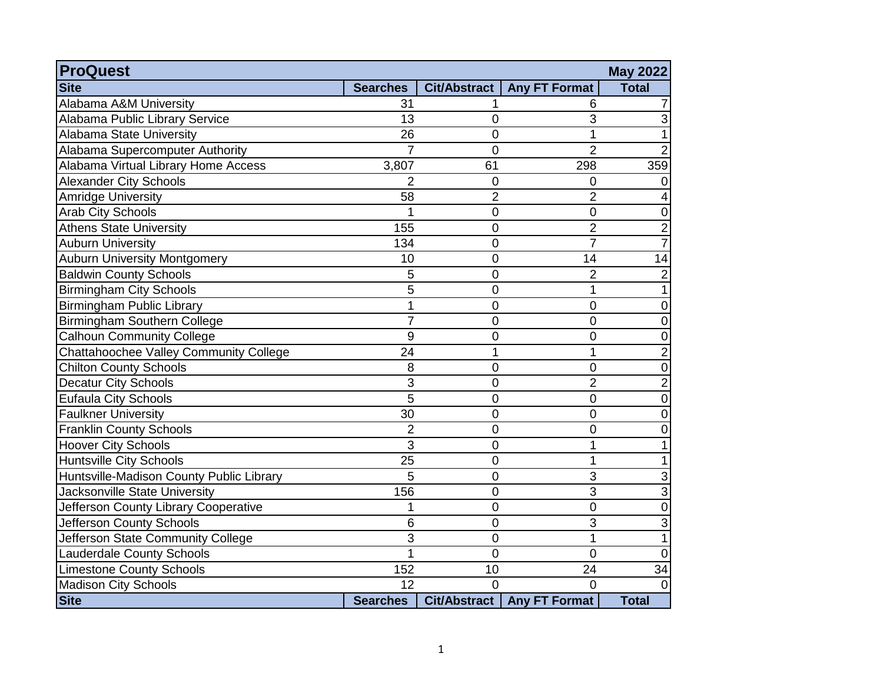| <b>ProQuest</b><br><b>May 2022</b>       |                 |                  |                              |                |  |  |
|------------------------------------------|-----------------|------------------|------------------------------|----------------|--|--|
| <b>Site</b>                              | <b>Searches</b> |                  | Cit/Abstract   Any FT Format | <b>Total</b>   |  |  |
| Alabama A&M University                   | 31              |                  | 6                            |                |  |  |
| Alabama Public Library Service           | 13              | $\mathbf 0$      | 3                            |                |  |  |
| Alabama State University                 | $\overline{26}$ | $\overline{0}$   | $\overline{1}$               |                |  |  |
| Alabama Supercomputer Authority          | $\overline{7}$  | $\overline{0}$   | $\overline{2}$               |                |  |  |
| Alabama Virtual Library Home Access      | 3,807           | 61               | 298                          | 359            |  |  |
| <b>Alexander City Schools</b>            | 2               | $\mathbf 0$      | 0                            |                |  |  |
| <b>Amridge University</b>                | 58              | $\overline{2}$   | $\overline{2}$               |                |  |  |
| <b>Arab City Schools</b>                 | 1               | $\mathbf 0$      | $\pmb{0}$                    | 0              |  |  |
| <b>Athens State University</b>           | 155             | $\mathbf 0$      | $\overline{2}$               | $\overline{c}$ |  |  |
| <b>Auburn University</b>                 | 134             | $\mathbf 0$      | $\overline{7}$               | $\overline{7}$ |  |  |
| <b>Auburn University Montgomery</b>      | 10              | $\overline{0}$   | 14                           | 14             |  |  |
| <b>Baldwin County Schools</b>            | 5               | $\mathbf 0$      | $\overline{2}$               | $\overline{2}$ |  |  |
| <b>Birmingham City Schools</b>           | 5               | $\overline{0}$   | $\mathbf{1}$                 | 1              |  |  |
| <b>Birmingham Public Library</b>         | 1               | $\overline{0}$   | 0                            | 0              |  |  |
| Birmingham Southern College              | $\overline{7}$  | $\overline{0}$   | $\overline{0}$               | 0              |  |  |
| <b>Calhoun Community College</b>         | 9               | $\boldsymbol{0}$ | $\pmb{0}$                    | 0              |  |  |
| Chattahoochee Valley Community College   | 24              | 1                | $\mathbf{1}$                 | $\overline{2}$ |  |  |
| <b>Chilton County Schools</b>            | 8               | $\mathbf 0$      | $\pmb{0}$                    | 0              |  |  |
| <b>Decatur City Schools</b>              | $\overline{3}$  | $\overline{0}$   | $\overline{2}$               | $\overline{2}$ |  |  |
| <b>Eufaula City Schools</b>              | $\overline{5}$  | $\mathbf 0$      | $\boldsymbol{0}$             | 0              |  |  |
| <b>Faulkner University</b>               | 30              | $\overline{0}$   | $\mathbf 0$                  | 0              |  |  |
| <b>Franklin County Schools</b>           | $\overline{2}$  | $\overline{0}$   | $\pmb{0}$                    | 0              |  |  |
| <b>Hoover City Schools</b>               | 3               | $\overline{0}$   | $\mathbf 1$                  |                |  |  |
| Huntsville City Schools                  | 25              | $\mathbf 0$      | $\mathbf{1}$                 | 1              |  |  |
| Huntsville-Madison County Public Library | 5               | $\mathbf 0$      | 3                            | 3              |  |  |
| Jacksonville State University            | 156             | $\mathbf 0$      | 3                            | 3              |  |  |
| Jefferson County Library Cooperative     | 1               | $\overline{0}$   | $\mathbf 0$                  | $\overline{0}$ |  |  |
| Jefferson County Schools                 | 6               | $\mathbf 0$      | 3                            | 3              |  |  |
| Jefferson State Community College        | 3               | $\overline{0}$   | 1                            | 1              |  |  |
| <b>Lauderdale County Schools</b>         | 1               | $\Omega$         | $\overline{0}$               | $\Omega$       |  |  |
| <b>Limestone County Schools</b>          | 152             | 10               | 24                           | 34             |  |  |
| <b>Madison City Schools</b>              | 12              | $\Omega$         | $\overline{0}$               |                |  |  |
| <b>Site</b>                              | <b>Searches</b> | Cit/Abstract     | Any FT Format                | <b>Total</b>   |  |  |